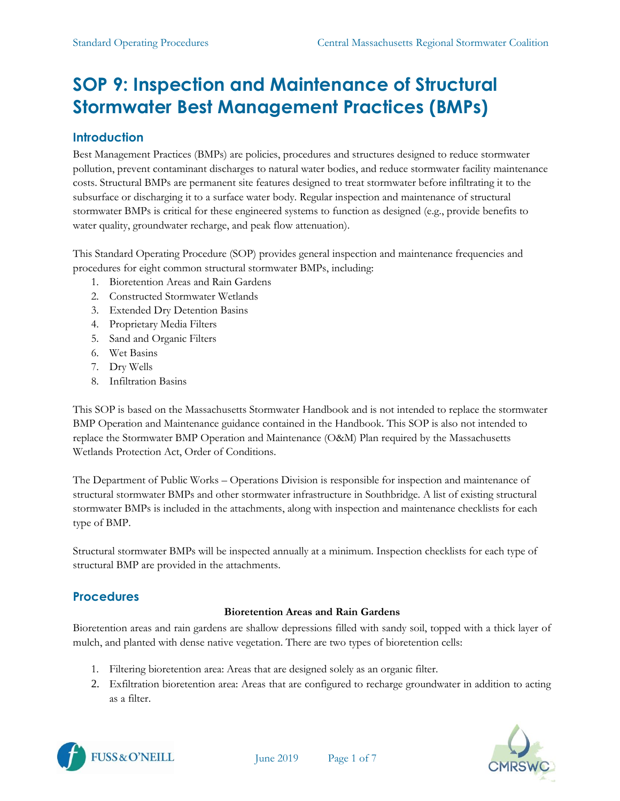# **SOP 9: Inspection and Maintenance of Structural Stormwater Best Management Practices (BMPs)**

# **Introduction**

Best Management Practices (BMPs) are policies, procedures and structures designed to reduce stormwater pollution, prevent contaminant discharges to natural water bodies, and reduce stormwater facility maintenance costs. Structural BMPs are permanent site features designed to treat stormwater before infiltrating it to the subsurface or discharging it to a surface water body. Regular inspection and maintenance of structural stormwater BMPs is critical for these engineered systems to function as designed (e.g., provide benefits to water quality, groundwater recharge, and peak flow attenuation).

This Standard Operating Procedure (SOP) provides general inspection and maintenance frequencies and procedures for eight common structural stormwater BMPs, including:

- 1. Bioretention Areas and Rain Gardens
- 2. Constructed Stormwater Wetlands
- 3. Extended Dry Detention Basins
- 4. Proprietary Media Filters
- 5. Sand and Organic Filters
- 6. Wet Basins
- 7. Dry Wells
- 8. Infiltration Basins

This SOP is based on the Massachusetts Stormwater Handbook and is not intended to replace the stormwater BMP Operation and Maintenance guidance contained in the Handbook. This SOP is also not intended to replace the Stormwater BMP Operation and Maintenance (O&M) Plan required by the Massachusetts Wetlands Protection Act, Order of Conditions.

The Department of Public Works – Operations Division is responsible for inspection and maintenance of structural stormwater BMPs and other stormwater infrastructure in Southbridge. A list of existing structural stormwater BMPs is included in the attachments, along with inspection and maintenance checklists for each type of BMP.

Structural stormwater BMPs will be inspected annually at a minimum. Inspection checklists for each type of structural BMP are provided in the attachments.

# **Procedures**

# **Bioretention Areas and Rain Gardens**

Bioretention areas and rain gardens are shallow depressions filled with sandy soil, topped with a thick layer of mulch, and planted with dense native vegetation. There are two types of bioretention cells:

- 1. Filtering bioretention area: Areas that are designed solely as an organic filter.
- 2. Exfiltration bioretention area: Areas that are configured to recharge groundwater in addition to acting as a filter.



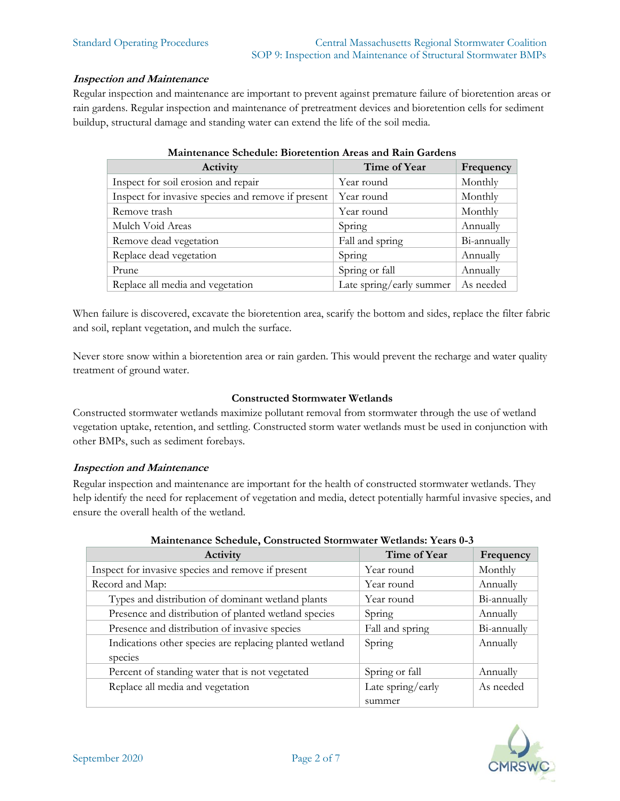#### **Inspection and Maintenance**

Regular inspection and maintenance are important to prevent against premature failure of bioretention areas or rain gardens. Regular inspection and maintenance of pretreatment devices and bioretention cells for sediment buildup, structural damage and standing water can extend the life of the soil media.

| Activity                                           | Time of Year             | Frequency   |  |
|----------------------------------------------------|--------------------------|-------------|--|
| Inspect for soil erosion and repair                | Year round               | Monthly     |  |
| Inspect for invasive species and remove if present | Year round               | Monthly     |  |
| Remove trash                                       | Year round               | Monthly     |  |
| Mulch Void Areas                                   | Spring                   | Annually    |  |
| Remove dead vegetation                             | Fall and spring          | Bi-annually |  |
| Replace dead vegetation                            | Spring                   | Annually    |  |
| Prune                                              | Spring or fall           | Annually    |  |
| Replace all media and vegetation                   | Late spring/early summer | As needed   |  |

#### **Maintenance Schedule: Bioretention Areas and Rain Gardens**

When failure is discovered, excavate the bioretention area, scarify the bottom and sides, replace the filter fabric and soil, replant vegetation, and mulch the surface.

Never store snow within a bioretention area or rain garden. This would prevent the recharge and water quality treatment of ground water.

#### **Constructed Stormwater Wetlands**

Constructed stormwater wetlands maximize pollutant removal from stormwater through the use of wetland vegetation uptake, retention, and settling. Constructed storm water wetlands must be used in conjunction with other BMPs, such as sediment forebays.

#### **Inspection and Maintenance**

Regular inspection and maintenance are important for the health of constructed stormwater wetlands. They help identify the need for replacement of vegetation and media, detect potentially harmful invasive species, and ensure the overall health of the wetland.

| Activity                                                | Time of Year      | Frequency   |
|---------------------------------------------------------|-------------------|-------------|
| Inspect for invasive species and remove if present      | Year round        | Monthly     |
| Record and Map:                                         | Year round        | Annually    |
| Types and distribution of dominant wetland plants       | Year round        | Bi-annually |
| Presence and distribution of planted wetland species    | Spring            | Annually    |
| Presence and distribution of invasive species           | Fall and spring   | Bi-annually |
| Indications other species are replacing planted wetland | Spring            | Annually    |
| species                                                 |                   |             |
| Percent of standing water that is not vegetated         | Spring or fall    | Annually    |
| Replace all media and vegetation                        | Late spring/early | As needed   |
|                                                         | summer            |             |

#### **Maintenance Schedule, Constructed Stormwater Wetlands: Years 0-3**

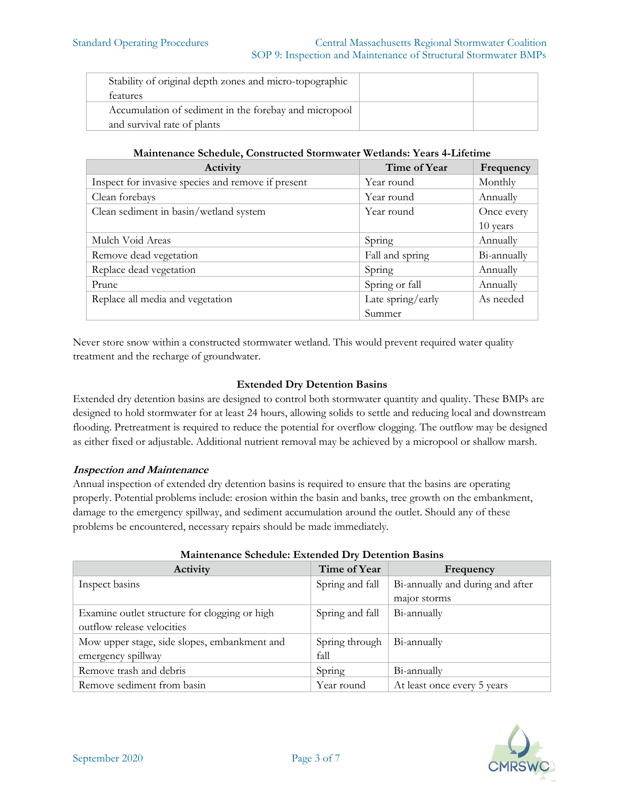| Stability of original depth zones and micro-topographic |  |
|---------------------------------------------------------|--|
| <i>teatures</i>                                         |  |
| Accumulation of sediment in the forebay and micropool   |  |
| and survival rate of plants                             |  |

**Maintenance Schedule, Constructed Stormwater Wetlands: Years 4-Lifetime**

| Activity                                           | Time of Year      | Frequency   |
|----------------------------------------------------|-------------------|-------------|
| Inspect for invasive species and remove if present | Year round        | Monthly     |
| Clean forebays                                     | Year round        | Annually    |
| Clean sediment in basin/wetland system             | Year round        | Once every  |
|                                                    |                   | 10 years    |
| Mulch Void Areas                                   | Spring            | Annually    |
| Remove dead vegetation                             | Fall and spring   | Bi-annually |
| Replace dead vegetation                            | Spring            | Annually    |
| Prune                                              | Spring or fall    | Annually    |
| Replace all media and vegetation                   | Late spring/early | As needed   |
|                                                    | Summer            |             |

Never store snow within a constructed stormwater wetland. This would prevent required water quality treatment and the recharge of groundwater.

## **Extended Dry Detention Basins**

Extended dry detention basins are designed to control both stormwater quantity and quality. These BMPs are designed to hold stormwater for at least 24 hours, allowing solids to settle and reducing local and downstream flooding. Pretreatment is required to reduce the potential for overflow clogging. The outflow may be designed as either fixed or adjustable. Additional nutrient removal may be achieved by a micropool or shallow marsh.

## **Inspection and Maintenance**

Annual inspection of extended dry detention basins is required to ensure that the basins are operating properly. Potential problems include: erosion within the basin and banks, tree growth on the embankment, damage to the emergency spillway, and sediment accumulation around the outlet. Should any of these problems be encountered, necessary repairs should be made immediately.

| manitenance ocneaane, Extenaea DT, Detention Daonio |                 |                                  |  |
|-----------------------------------------------------|-----------------|----------------------------------|--|
| Activity                                            | Time of Year    | Frequency                        |  |
| Inspect basins                                      | Spring and fall | Bi-annually and during and after |  |
|                                                     |                 | major storms                     |  |
| Examine outlet structure for clogging or high       | Spring and fall | Bi-annually                      |  |
| outflow release velocities                          |                 |                                  |  |
| Mow upper stage, side slopes, embankment and        | Spring through  | Bi-annually                      |  |
| emergency spillway                                  | fall            |                                  |  |
| Remove trash and debris                             | Spring          | Bi-annually                      |  |
| Remove sediment from basin                          | Year round      | At least once every 5 years      |  |

#### **Maintenance Schedule: Extended Dry Detention Basins**

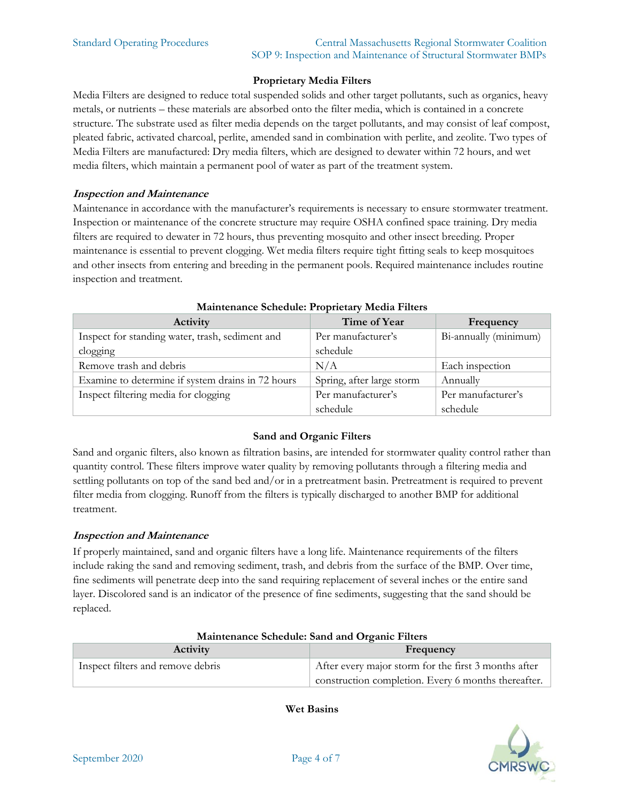# **Proprietary Media Filters**

Media Filters are designed to reduce total suspended solids and other target pollutants, such as organics, heavy metals, or nutrients – these materials are absorbed onto the filter media, which is contained in a concrete structure. The substrate used as filter media depends on the target pollutants, and may consist of leaf compost, pleated fabric, activated charcoal, perlite, amended sand in combination with perlite, and zeolite. Two types of Media Filters are manufactured: Dry media filters, which are designed to dewater within 72 hours, and wet media filters, which maintain a permanent pool of water as part of the treatment system.

#### **Inspection and Maintenance**

Maintenance in accordance with the manufacturer's requirements is necessary to ensure stormwater treatment. Inspection or maintenance of the concrete structure may require OSHA confined space training. Dry media filters are required to dewater in 72 hours, thus preventing mosquito and other insect breeding. Proper maintenance is essential to prevent clogging. Wet media filters require tight fitting seals to keep mosquitoes and other insects from entering and breeding in the permanent pools. Required maintenance includes routine inspection and treatment.

| <b>Manuficulative Schedule, I Topricially McGra I fitters</b> |                           |                       |  |
|---------------------------------------------------------------|---------------------------|-----------------------|--|
| Activity                                                      | Time of Year              | Frequency             |  |
| Inspect for standing water, trash, sediment and               | Per manufacturer's        | Bi-annually (minimum) |  |
| clogging                                                      | schedule                  |                       |  |
| Remove trash and debris                                       | N/A                       | Each inspection       |  |
| Examine to determine if system drains in 72 hours             | Spring, after large storm | Annually              |  |
| Inspect filtering media for clogging                          | Per manufacturer's        | Per manufacturer's    |  |
|                                                               | schedule                  | schedule              |  |

#### **Maintenance Schedule: Proprietary Media Filters**

## **Sand and Organic Filters**

Sand and organic filters, also known as filtration basins, are intended for stormwater quality control rather than quantity control. These filters improve water quality by removing pollutants through a filtering media and settling pollutants on top of the sand bed and/or in a pretreatment basin. Pretreatment is required to prevent filter media from clogging. Runoff from the filters is typically discharged to another BMP for additional treatment.

## **Inspection and Maintenance**

If properly maintained, sand and organic filters have a long life. Maintenance requirements of the filters include raking the sand and removing sediment, trash, and debris from the surface of the BMP. Over time, fine sediments will penetrate deep into the sand requiring replacement of several inches or the entire sand layer. Discolored sand is an indicator of the presence of fine sediments, suggesting that the sand should be replaced.

| Maintenance Schedule: Sand and Organic Filters |                                                      |  |
|------------------------------------------------|------------------------------------------------------|--|
| <b>Activity</b>                                | Frequency                                            |  |
| Inspect filters and remove debris              | After every major storm for the first 3 months after |  |
|                                                | construction completion. Every 6 months thereafter.  |  |

**Wet Basins**

# **Maintenance Schedule: Sand and Organic Filters**

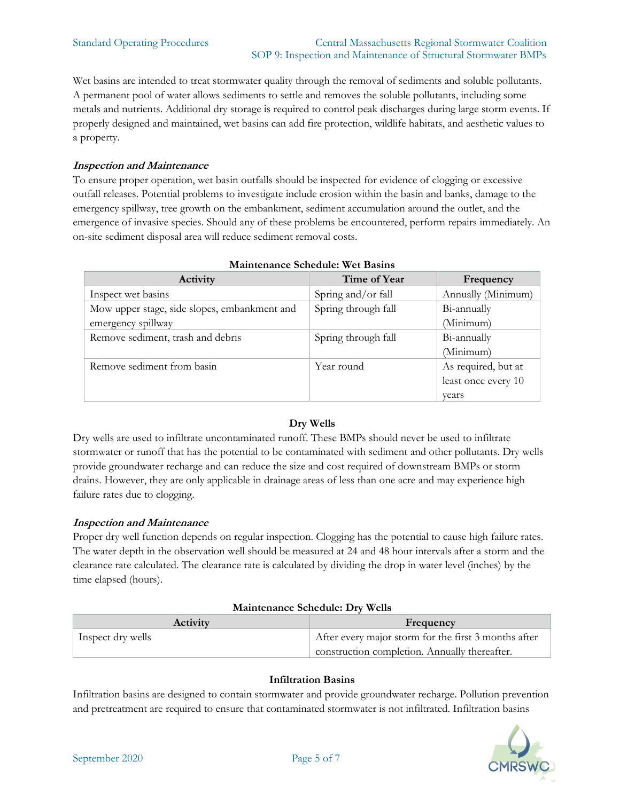Wet basins are intended to treat stormwater quality through the removal of sediments and soluble pollutants. A permanent pool of water allows sediments to settle and removes the soluble pollutants, including some metals and nutrients. Additional dry storage is required to control peak discharges during large storm events. If properly designed and maintained, wet basins can add fire protection, wildlife habitats, and aesthetic values to a property.

# **Inspection and Maintenance**

To ensure proper operation, wet basin outfalls should be inspected for evidence of clogging or excessive outfall releases. Potential problems to investigate include erosion within the basin and banks, damage to the emergency spillway, tree growth on the embankment, sediment accumulation around the outlet, and the emergence of invasive species. Should any of these problems be encountered, perform repairs immediately. An on-site sediment disposal area will reduce sediment removal costs.

| планиенанее оснечате, и ет разню             |                     |                     |  |
|----------------------------------------------|---------------------|---------------------|--|
| Activity                                     | Time of Year        | Frequency           |  |
| Inspect wet basins                           | Spring and/or fall  | Annually (Minimum)  |  |
| Mow upper stage, side slopes, embankment and | Spring through fall | Bi-annually         |  |
| emergency spillway                           |                     | (Minimum)           |  |
| Remove sediment, trash and debris            | Spring through fall | Bi-annually         |  |
|                                              |                     | (Minimum)           |  |
| Remove sediment from basin                   | Year round          | As required, but at |  |
|                                              |                     | least once every 10 |  |
|                                              |                     | vears               |  |

#### **Maintenance Schedule: Wet Basins**

# **Dry Wells**

Dry wells are used to infiltrate uncontaminated runoff. These BMPs should never be used to infiltrate stormwater or runoff that has the potential to be contaminated with sediment and other pollutants. Dry wells provide groundwater recharge and can reduce the size and cost required of downstream BMPs or storm drains. However, they are only applicable in drainage areas of less than one acre and may experience high failure rates due to clogging.

## **Inspection and Maintenance**

Proper dry well function depends on regular inspection. Clogging has the potential to cause high failure rates. The water depth in the observation well should be measured at 24 and 48 hour intervals after a storm and the clearance rate calculated. The clearance rate is calculated by dividing the drop in water level (inches) by the time elapsed (hours).

## **Maintenance Schedule: Dry Wells**

| <b>Activity</b>   | Frequency                                            |  |
|-------------------|------------------------------------------------------|--|
| Inspect dry wells | After every major storm for the first 3 months after |  |
|                   | construction completion. Annually thereafter.        |  |

## **Infiltration Basins**

Infiltration basins are designed to contain stormwater and provide groundwater recharge. Pollution prevention and pretreatment are required to ensure that contaminated stormwater is not infiltrated. Infiltration basins